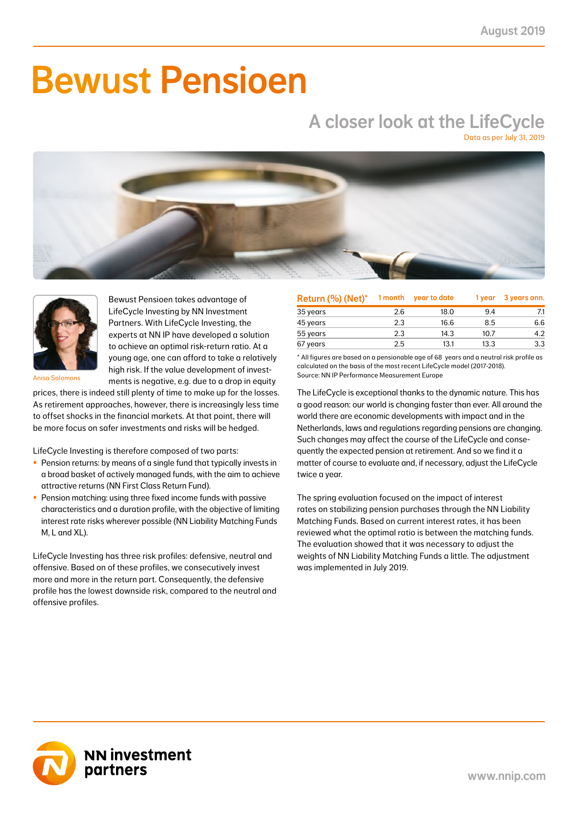# Bewust Pensioen

## A closer look at the LifeCycle

Data as per July 31, 2019





Bewust Pensioen takes advantage of LifeCycle Investing by NN Investment Partners. With LifeCycle Investing, the experts at NN IP have developed a solution to achieve an optimal risk-return ratio. At a young age, one can afford to take a relatively high risk. If the value development of investments is negative, e.g. due to a drop in equity

Anisa Salomons

prices, there is indeed still plenty of time to make up for the losses. As retirement approaches, however, there is increasingly less time to offset shocks in the financial markets. At that point, there will be more focus on safer investments and risks will be hedged.

LifeCycle Investing is therefore composed of two parts:

- Pension returns: by means of a single fund that typically invests in a broad basket of actively managed funds, with the aim to achieve attractive returns (NN First Class Return Fund).
- Pension matching: using three fixed income funds with passive characteristics and a duration profile, with the objective of limiting interest rate risks wherever possible (NN Liability Matching Funds M, L and XL).

LifeCycle Investing has three risk profiles: defensive, neutral and offensive. Based on of these profiles, we consecutively invest more and more in the return part. Consequently, the defensive profile has the lowest downside risk, compared to the neutral and offensive profiles.

| Return (%) (Net)* | 1 month | year to date | 1 year | 3 years ann. |
|-------------------|---------|--------------|--------|--------------|
| 35 years          | 2.6     | 18.0         | 9.4    | 7.1          |
| 45 years          | 2.3     | 16.6         | 8.5    | 6.6          |
| 55 years          | 2.3     | 14.3         | 10.7   | 4.2          |
| 67 years          | 2.5     | 13.1         | 13.3   | 3.3          |

\* All figures are based on a pensionable age of 68 years and a neutral risk profile as calculated on the basis of the most recent LifeCycle model (2017-2018). Source: NN IP Performance Measurement Europe

The LifeCycle is exceptional thanks to the dynamic nature. This has a good reason: our world is changing faster than ever. All around the world there are economic developments with impact and in the Netherlands, laws and regulations regarding pensions are changing. Such changes may affect the course of the LifeCycle and consequently the expected pension at retirement. And so we find it a matter of course to evaluate and, if necessary, adjust the LifeCycle twice a year.

The spring evaluation focused on the impact of interest rates on stabilizing pension purchases through the NN Liability Matching Funds. Based on current interest rates, it has been reviewed what the optimal ratio is between the matching funds. The evaluation showed that it was necessary to adjust the weights of NN Liability Matching Funds a little. The adjustment was implemented in July 2019.

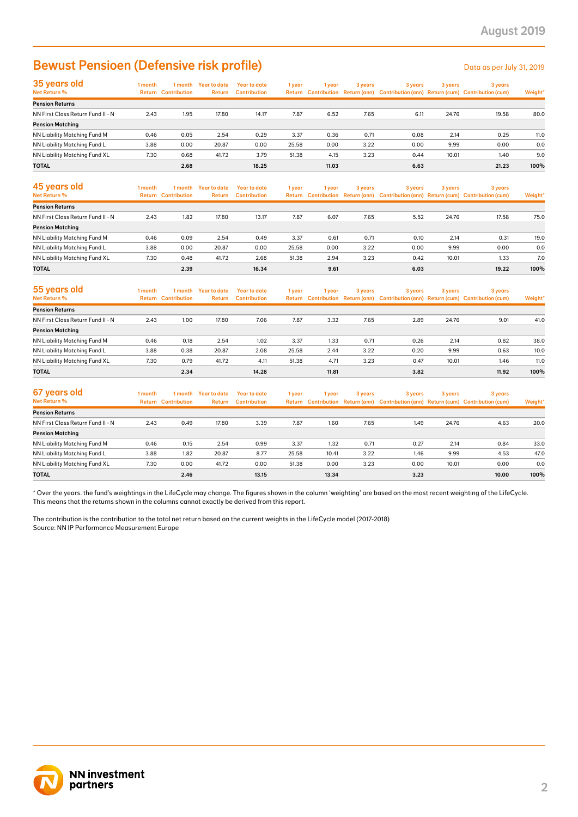### Bewust Pensioen (Defensive risk profile) Details and the Data as per July 31, 2019

| 35 years old                         | 1 month | l month                    | Year to date  | Year to date        | 1 year | l year | 3 years | 3 years | 3 years | 3 years                                                                             |         |
|--------------------------------------|---------|----------------------------|---------------|---------------------|--------|--------|---------|---------|---------|-------------------------------------------------------------------------------------|---------|
| Net Return %                         |         | <b>Return Contribution</b> | <b>Return</b> | <b>Contribution</b> |        |        |         |         |         | Return Contribution Return (ann) Contribution (ann) Return (cum) Contribution (cum) | Weight* |
| <b>Pension Returns</b>               |         |                            |               |                     |        |        |         |         |         |                                                                                     |         |
| NN First Class Return Fund II - N    | 2.43    | 1.95                       | 17.80         | 14.17               | 7.87   | 6.52   | 7.65    | 6.11    | 24.76   | 19.58                                                                               | 80.0    |
| <b>Pension Matching</b>              |         |                            |               |                     |        |        |         |         |         |                                                                                     |         |
| <b>NN Liability Matching Fund M</b>  | 0.46    | 0.05                       | 2.54          | 0.29                | 3.37   | 0.36   | 0.71    | 0.08    | 2.14    | 0.25                                                                                | 11.0    |
| NN Liability Matching Fund L         | 3.88    | 0.00                       | 20.87         | 0.00                | 25.58  | 0.00   | 3.22    | 0.00    | 9.99    | 0.00                                                                                | 0.0     |
| <b>NN Liability Matching Fund XL</b> | 7.30    | 0.68                       | 41.72         | 3.79                | 51.38  | 4.15   | 3.23    | 0.44    | 10.01   | 1.40                                                                                | 9.0     |
| <b>TOTAL</b>                         |         | 2.68                       |               | 18.25               |        | 11.03  |         | 6.63    |         | 21.23                                                                               | 100%    |

| 45 years old<br>Net Return %      | 1 month | 1 month<br><b>Return Contribution</b> | Year to date<br>Return | Year to date<br><b>Contribution</b> | 1 vear | l vear | 3 years | 3 years | 3 years | 3 years<br>Return Contribution Return (ann) Contribution (ann) Return (cum) Contribution (cum) | Weight* |
|-----------------------------------|---------|---------------------------------------|------------------------|-------------------------------------|--------|--------|---------|---------|---------|------------------------------------------------------------------------------------------------|---------|
| <b>Pension Returns</b>            |         |                                       |                        |                                     |        |        |         |         |         |                                                                                                |         |
| NN First Class Return Fund II - N | 2.43    | 1.82                                  | 17.80                  | 13.17                               | 7.87   | 6.07   | 7.65    | 5.52    | 24.76   | 17.58                                                                                          | 75.0    |
| <b>Pension Matching</b>           |         |                                       |                        |                                     |        |        |         |         |         |                                                                                                |         |
| NN Liability Matching Fund M      | 0.46    | 0.09                                  | 2.54                   | 0.49                                | 3.37   | 0.61   | 0.71    | 0.10    | 2.14    | 0.31                                                                                           | 19.0    |
| NN Liability Matching Fund L      | 3.88    | 0.00                                  | 20.87                  | 0.00                                | 25.58  | 0.00   | 3.22    | 0.00    | 9.99    | 0.00                                                                                           | 0.0     |
| NN Liability Matching Fund XL     | 7.30    | 0.48                                  | 41.72                  | 2.68                                | 51.38  | 2.94   | 3.23    | 0.42    | 10.01   | 1.33                                                                                           | 7.0     |
| <b>TOTAL</b>                      |         | 2.39                                  |                        | 16.34                               |        | 9.61   |         | 6.03    |         | 19.22                                                                                          | 100%    |

| 55 years old<br>Net Return %      | l month | 1 month<br><b>Return Contribution</b> | Year to date<br>Return | Year to date<br><b>Contribution</b> | 1 year | 1 vear | 3 years | 3 years | 3 years | 3 years<br>Return Contribution Return (ann) Contribution (ann) Return (cum) Contribution (cum) | Weight* |
|-----------------------------------|---------|---------------------------------------|------------------------|-------------------------------------|--------|--------|---------|---------|---------|------------------------------------------------------------------------------------------------|---------|
| <b>Pension Returns</b>            |         |                                       |                        |                                     |        |        |         |         |         |                                                                                                |         |
| NN First Class Return Fund II - N | 2.43    | 1.00                                  | 17.80                  | 7.06                                | 7.87   | 3.32   | 7.65    | 2.89    | 24.76   | 9.01                                                                                           | 41.0    |
| <b>Pension Matching</b>           |         |                                       |                        |                                     |        |        |         |         |         |                                                                                                |         |
| NN Liability Matching Fund M      | 0.46    | 0.18                                  | 2.54                   | 1.02                                | 3.37   | 1.33   | 0.71    | 0.26    | 2.14    | 0.82                                                                                           | 38.0    |
| NN Liability Matching Fund L      | 3.88    | 0.38                                  | 20.87                  | 2.08                                | 25.58  | 2.44   | 3.22    | 0.20    | 9.99    | 0.63                                                                                           | 10.0    |
| NN Liability Matching Fund XL     | 7.30    | 0.79                                  | 41.72                  | 4.11                                | 51.38  | 4.71   | 3.23    | 0.47    | 10.01   | 1.46                                                                                           | 11.0    |
| <b>TOTAL</b>                      |         | 2.34                                  |                        | 14.28                               |        | 11.81  |         | 3.82    |         | 11.92                                                                                          | 100%    |

| 67 years old<br>Net Return %      | I month<br>Return | 1 month<br><b>Contribution</b> | Year to date<br>Return | Year to date<br><b>Contribution</b> | 1 year | 1 vear | 3 years | 3 years | 3 years | 3 years<br>Return Contribution Return (ann) Contribution (ann) Return (cum) Contribution (cum) | Weight* |
|-----------------------------------|-------------------|--------------------------------|------------------------|-------------------------------------|--------|--------|---------|---------|---------|------------------------------------------------------------------------------------------------|---------|
| <b>Pension Returns</b>            |                   |                                |                        |                                     |        |        |         |         |         |                                                                                                |         |
| NN First Class Return Fund II - N | 2.43              | 0.49                           | 17.80                  | 3.39                                | 7.87   | 1.60   | 7.65    | 1.49    | 24.76   | 4.63                                                                                           | 20.0    |
| <b>Pension Matching</b>           |                   |                                |                        |                                     |        |        |         |         |         |                                                                                                |         |
| NN Liability Matching Fund M      | 0.46              | 0.15                           | 2.54                   | 0.99                                | 3.37   | 1.32   | 0.71    | 0.27    | 2.14    | 0.84                                                                                           | 33.0    |
| NN Liability Matching Fund L      | 3.88              | 1.82                           | 20.87                  | 8.77                                | 25.58  | 10.41  | 3.22    | 1.46    | 9.99    | 4.53                                                                                           | 47.0    |
| NN Liability Matching Fund XL     | 7.30              | 0.00                           | 41.72                  | 0.00                                | 51.38  | 0.00   | 3.23    | 0.00    | 10.01   | 0.00                                                                                           | 0.0     |
| <b>TOTAL</b>                      |                   | 2.46                           |                        | 13.15                               |        | 13.34  |         | 3.23    |         | 10.00                                                                                          | 100%    |

\* Over the years. the fund's weightings in the LifeCycle may change. The figures shown in the column 'weighting' are based on the most recent weighting of the LifeCycle. This means that the returns shown in the columns cannot exactly be derived from this report.

The contribution is the contribution to the total net return based on the current weights in the LifeCycle model (2017-2018) Source: NN IP Performance Measurement Europe

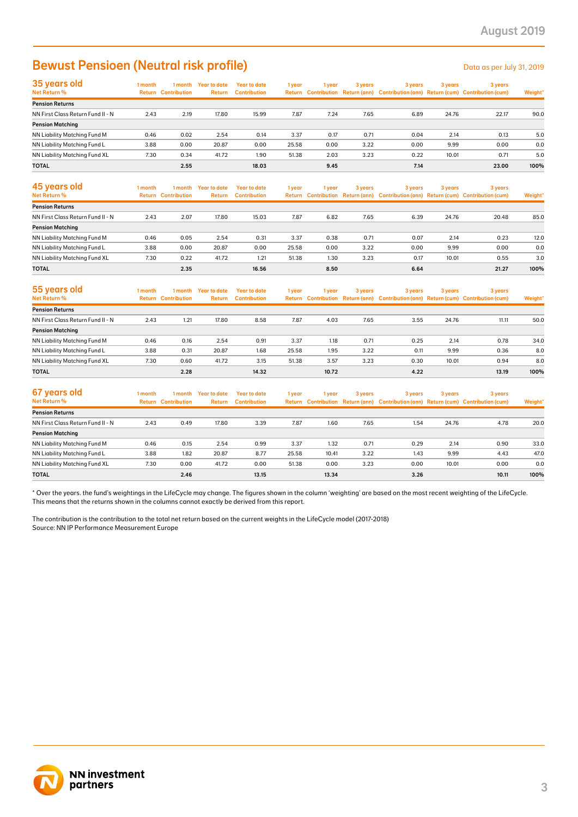### Bewust Pensioen (Neutral risk profile) Data as per July 31, 2019

| 35 years old                         | I month | 1 month                    | Year to date  | Year to date        | 1 year | 1 year | 3 years | 3 years | 3 years | 3 years                                                                             |         |
|--------------------------------------|---------|----------------------------|---------------|---------------------|--------|--------|---------|---------|---------|-------------------------------------------------------------------------------------|---------|
| Net Return %                         |         | <b>Return Contribution</b> | <b>Return</b> | <b>Contribution</b> |        |        |         |         |         | Return Contribution Return (ann) Contribution (ann) Return (cum) Contribution (cum) | Weight* |
| <b>Pension Returns</b>               |         |                            |               |                     |        |        |         |         |         |                                                                                     |         |
| NN First Class Return Fund II - N    | 2.43    | 2.19                       | 17.80         | 15.99               | 7.87   | 7.24   | 7.65    | 6.89    | 24.76   | 22.17                                                                               | 90.0    |
| <b>Pension Matching</b>              |         |                            |               |                     |        |        |         |         |         |                                                                                     |         |
| NN Liability Matching Fund M         | 0.46    | 0.02                       | 2.54          | 0.14                | 3.37   | 0.17   | 0.71    | 0.04    | 2.14    | 0.13                                                                                | 5.0     |
| NN Liability Matching Fund L         | 3.88    | 0.00                       | 20.87         | 0.00                | 25.58  | 0.00   | 3.22    | 0.00    | 9.99    | 0.00                                                                                | 0.0     |
| <b>NN Liability Matching Fund XL</b> | 7.30    | 0.34                       | 41.72         | 1.90                | 51.38  | 2.03   | 3.23    | 0.22    | 10.01   | 0.71                                                                                | 5.0     |
| <b>TOTAL</b>                         |         | 2.55                       |               | 18.03               |        | 9.45   |         | 7.14    |         | 23.00                                                                               | 100%    |

| 45 years old<br><b>Net Return %</b> | 1 month<br>Return | 1 month<br><b>Contribution</b> | Year to date<br>Return | Year to date<br><b>Contribution</b> | 1 year | vear | 3 years | 3 years | 3 years | 3 years<br>Return Contribution Return (ann) Contribution (ann) Return (cum) Contribution (cum) | Weight* |
|-------------------------------------|-------------------|--------------------------------|------------------------|-------------------------------------|--------|------|---------|---------|---------|------------------------------------------------------------------------------------------------|---------|
| <b>Pension Returns</b>              |                   |                                |                        |                                     |        |      |         |         |         |                                                                                                |         |
| NN First Class Return Fund II - N   | 2.43              | 2.07                           | 17.80                  | 15.03                               | 7.87   | 6.82 | 7.65    | 6.39    | 24.76   | 20.48                                                                                          | 85.0    |
| <b>Pension Matching</b>             |                   |                                |                        |                                     |        |      |         |         |         |                                                                                                |         |
| NN Liability Matching Fund M        | 0.46              | 0.05                           | 2.54                   | 0.31                                | 3.37   | 0.38 | 0.71    | 0.07    | 2.14    | 0.23                                                                                           | 12.0    |
| NN Liability Matching Fund L        | 3.88              | 0.00                           | 20.87                  | 0.00                                | 25.58  | 0.00 | 3.22    | 0.00    | 9.99    | 0.00                                                                                           | 0.0     |
| NN Liability Matching Fund XL       | 7.30              | 0.22                           | 41.72                  | 1.21                                | 51.38  | 1.30 | 3.23    | 0.17    | 10.01   | 0.55                                                                                           | 3.0     |
| <b>TOTAL</b>                        |                   | 2.35                           |                        | 16.56                               |        | 8.50 |         | 6.64    |         | 21.27                                                                                          | 100%    |

| 55 years old<br>Net Return %      | 1 month | 1 month<br><b>Return Contribution</b> | Year to date<br><b>Return</b> | Year to date<br><b>Contribution</b> | 1 year | 1 year | 3 years | 3 years | 3 years | 3 years<br>Return Contribution Return (ann) Contribution (ann) Return (cum) Contribution (cum) | Weight* |
|-----------------------------------|---------|---------------------------------------|-------------------------------|-------------------------------------|--------|--------|---------|---------|---------|------------------------------------------------------------------------------------------------|---------|
| <b>Pension Returns</b>            |         |                                       |                               |                                     |        |        |         |         |         |                                                                                                |         |
| NN First Class Return Fund II - N | 2.43    | 1.21                                  | 17.80                         | 8.58                                | 7.87   | 4.03   | 7.65    | 3.55    | 24.76   | 11.11                                                                                          | 50.0    |
| <b>Pension Matching</b>           |         |                                       |                               |                                     |        |        |         |         |         |                                                                                                |         |
| NN Liability Matching Fund M      | 0.46    | 0.16                                  | 2.54                          | 0.91                                | 3.37   | 1.18   | 0.71    | 0.25    | 2.14    | 0.78                                                                                           | 34.0    |
| NN Liability Matching Fund L      | 3.88    | 0.31                                  | 20.87                         | 1.68                                | 25.58  | 1.95   | 3.22    | 0.11    | 9.99    | 0.36                                                                                           | 8.0     |
| NN Liability Matching Fund XL     | 7.30    | 0.60                                  | 41.72                         | 3.15                                | 51.38  | 3.57   | 3.23    | 0.30    | 10.01   | 0.94                                                                                           | 8.0     |
| <b>TOTAL</b>                      |         | 2.28                                  |                               | 14.32                               |        | 10.72  |         | 4.22    |         | 13.19                                                                                          | 100%    |

| 67 years old<br>Net Return %      | 1 month | 1 month<br><b>Return Contribution</b> | Year to date<br>Return | Year to date<br><b>Contribution</b> | 1 year | 1 year | 3 years | 3 years | 3 years | 3 years<br>Return Contribution Return (ann) Contribution (ann) Return (cum) Contribution (cum) | Weight* |
|-----------------------------------|---------|---------------------------------------|------------------------|-------------------------------------|--------|--------|---------|---------|---------|------------------------------------------------------------------------------------------------|---------|
| <b>Pension Returns</b>            |         |                                       |                        |                                     |        |        |         |         |         |                                                                                                |         |
| NN First Class Return Fund II - N | 2.43    | 0.49                                  | 17.80                  | 3.39                                | 7.87   | 1.60   | 7.65    | 1.54    | 24.76   | 4.78                                                                                           | 20.0    |
| <b>Pension Matching</b>           |         |                                       |                        |                                     |        |        |         |         |         |                                                                                                |         |
| NN Liability Matching Fund M      | 0.46    | 0.15                                  | 2.54                   | 0.99                                | 3.37   | 1.32   | 0.71    | 0.29    | 2.14    | 0.90                                                                                           | 33.0    |
| NN Liability Matching Fund L      | 3.88    | 1.82                                  | 20.87                  | 8.77                                | 25.58  | 10.41  | 3.22    | 1.43    | 9.99    | 4.43                                                                                           | 47.0    |
| NN Liability Matching Fund XL     | 7.30    | 0.00                                  | 41.72                  | 0.00                                | 51.38  | 0.00   | 3.23    | 0.00    | 10.01   | 0.00                                                                                           | 0.0     |
| <b>TOTAL</b>                      |         | 2.46                                  |                        | 13.15                               |        | 13.34  |         | 3.26    |         | 10.11                                                                                          | 100%    |

\* Over the years. the fund's weightings in the LifeCycle may change. The figures shown in the column 'weighting' are based on the most recent weighting of the LifeCycle. This means that the returns shown in the columns cannot exactly be derived from this report.

The contribution is the contribution to the total net return based on the current weights in the LifeCycle model (2017-2018) Source: NN IP Performance Measurement Europe